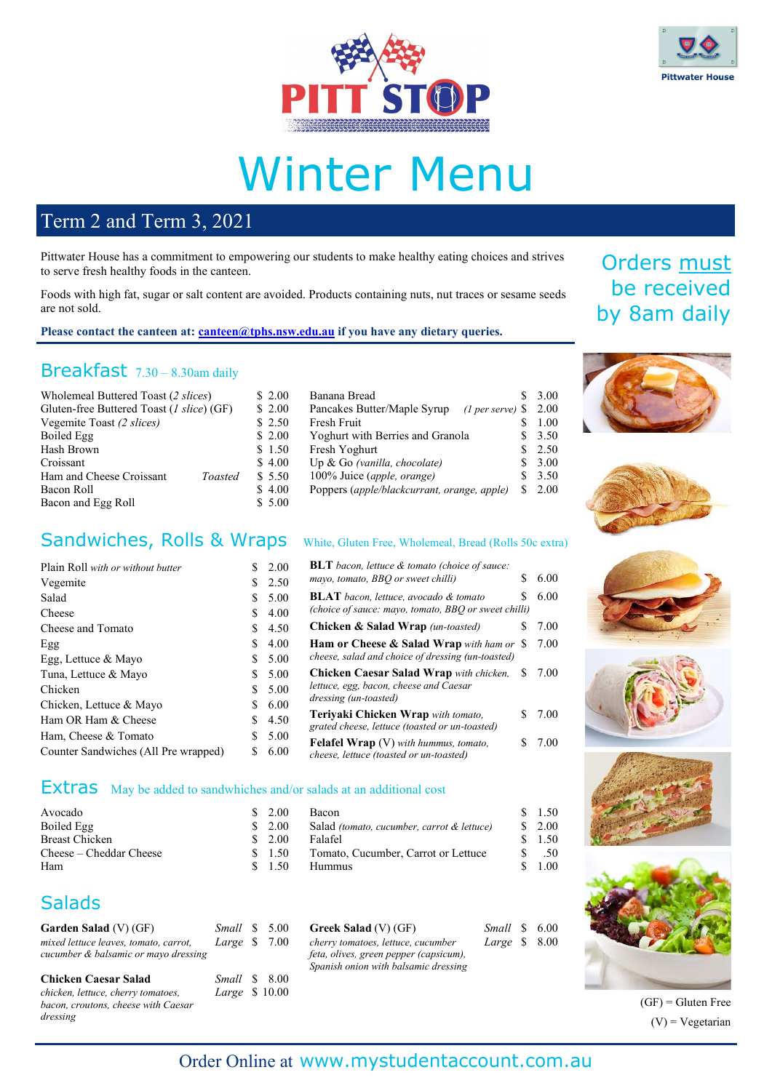



# Winter Menu

100% Juice (*apple, orange*)

Banana Bread \$ 3.00<br>Pancakes Butter/Maple Syrup (Lner serve) \$ 2.00 Pancakes Butter/Maple Syrup *(1 per serve)* \$ 2.00 Fresh Fruit  $\qquad \qquad$  \$ 1.00 Yoghurt with Berries and Granola  $$3.50$ Fresh Yoghurt \$ 2.50<br>
Up & Go (vanilla. chocolate) \$ 3.00 Up & Go (vanilla, chocolate)  $$3.00$ <br>100% Juice (apple, orange)  $$3.50$ 

Poppers (*apple/blackcurrant, orange, apple)* \$ 2.00

## Term 2 and Term 3, 2021

Pittwater House has a commitment to empowering our students to make healthy eating choices and strives to serve fresh healthy foods in the canteen.

Foods with high fat, sugar or salt content are avoided. Products containing nuts, nut traces or sesame seeds are not sold.

#### Please contact the canteen at: **canteen@tphs.nsw.edu.au** if you have any dietary queries.

### Breakfast 7.30 – 8.30am daily

| Wholemeal Buttered Toast (2 slices)       |         | \$2.00 |
|-------------------------------------------|---------|--------|
| Gluten-free Buttered Toast (1 slice) (GF) |         | \$2.00 |
| Vegemite Toast (2 slices)                 |         | \$2.50 |
| Boiled Egg                                |         | \$2.00 |
| Hash Brown                                |         | \$1.50 |
| Croissant                                 |         | \$4.00 |
| Ham and Cheese Croissant                  | Toasted | \$5.50 |
| Bacon Roll                                |         | \$4.00 |
| Bacon and Egg Roll                        |         | \$5.00 |
|                                           |         |        |

### Sandwiches, Rolls & Wraps White, Gluten Free, Wholemeal, Bread (Rolls 50c extra)

| Plain Roll with or without butter    | S. | 2.00   | <b>BLT</b> bacon, lettuce & tomato (choice of sauce:                                    |        |  |
|--------------------------------------|----|--------|-----------------------------------------------------------------------------------------|--------|--|
| Vegemite                             |    | \$2.50 | mayo, tomato, BBQ or sweet chilli)<br>S                                                 | 6.00   |  |
| Salad                                | S. | 5.00   | <b>BLAT</b> bacon, lettuce, avocado & tomato                                            | 6.00   |  |
| Cheese                               | S. | 4.00   | (choice of sauce: mayo, tomato, BBQ or sweet chilli)                                    |        |  |
| Cheese and Tomato                    | S. | 4.50   | <b>Chicken &amp; Salad Wrap</b> (un-toasted)                                            | 7.00   |  |
| Egg                                  | S. | 4.00   | Ham or Cheese & Salad Wrap with ham or \$                                               | 7.00   |  |
| Egg, Lettuce & Mayo                  | S. | 5.00   | cheese, salad and choice of dressing (un-toasted)                                       |        |  |
| Tuna, Lettuce & Mayo                 | S. | 5.00   | <b>Chicken Caesar Salad Wrap</b> with chicken,<br>S.                                    | 7.00   |  |
| Chicken                              | S. | 5.00   | lettuce, egg, bacon, cheese and Caesar                                                  |        |  |
| Chicken, Lettuce & Mayo              | S. | 6.00   | dressing (un-toasted)                                                                   |        |  |
| Ham OR Ham & Cheese                  | S. | 4.50   | Terivaki Chicken Wrap with tomato.                                                      | \$7.00 |  |
| Ham, Cheese & Tomato                 | S. | 5.00   | grated cheese, lettuce (toasted or un-toasted)                                          |        |  |
| Counter Sandwiches (All Pre wrapped) | S  | 6.00   | <b>Felafel Wrap</b> (V) with hummus, tomato,<br>cheese, lettuce (toasted or un-toasted) | 7.00   |  |

### Extras May be added to sandwhiches and/or salads at an additional cost

| Avocado                 | \$2.00 | <b>Bacon</b>                                          | 1.50     |
|-------------------------|--------|-------------------------------------------------------|----------|
| Boiled Egg              | \$2.00 | Salad <i>(tomato, cucumber, carrot &amp; lettuce)</i> | 2.00     |
| Breast Chicken          | 2.00   | Falafel                                               | 1.50     |
| Cheese – Cheddar Cheese | \$1.50 | Tomato, Cucumber, Carrot or Lettuce                   | .50      |
| Ham                     | - 1.50 | <b>Hummus</b>                                         | $1.00\,$ |

### **Salads**

| Garden Salad $(V)$ (GF)                                                       | Small \$ 5.00                          |  | G                |
|-------------------------------------------------------------------------------|----------------------------------------|--|------------------|
| mixed lettuce leaves, tomato, carrot,<br>cucumber & balsamic or mayo dressing | Large $$7.00$                          |  | ch<br>fet<br>Sp( |
| <b>Chicken Caesar Salad</b><br>chicken, lettuce, cherry tomatoes,             | <i>Small</i> \$ 8.00<br>Large \$ 10.00 |  |                  |

*bacon, croutons, cheese with Caesar dressing*

| <b>Greek Salad (V) (GF)</b>            | Small \$ 6.00 |  |
|----------------------------------------|---------------|--|
| cherry tomatoes, lettuce, cucumber     | Large $$8.00$ |  |
| feta, olives, green pepper (capsicum), |               |  |
| Spanish onion with balsamic dressing   |               |  |

# Orders must be received by 8am daily













 $(GF)$  = Gluten Free  $(V)$  = Vegetarian